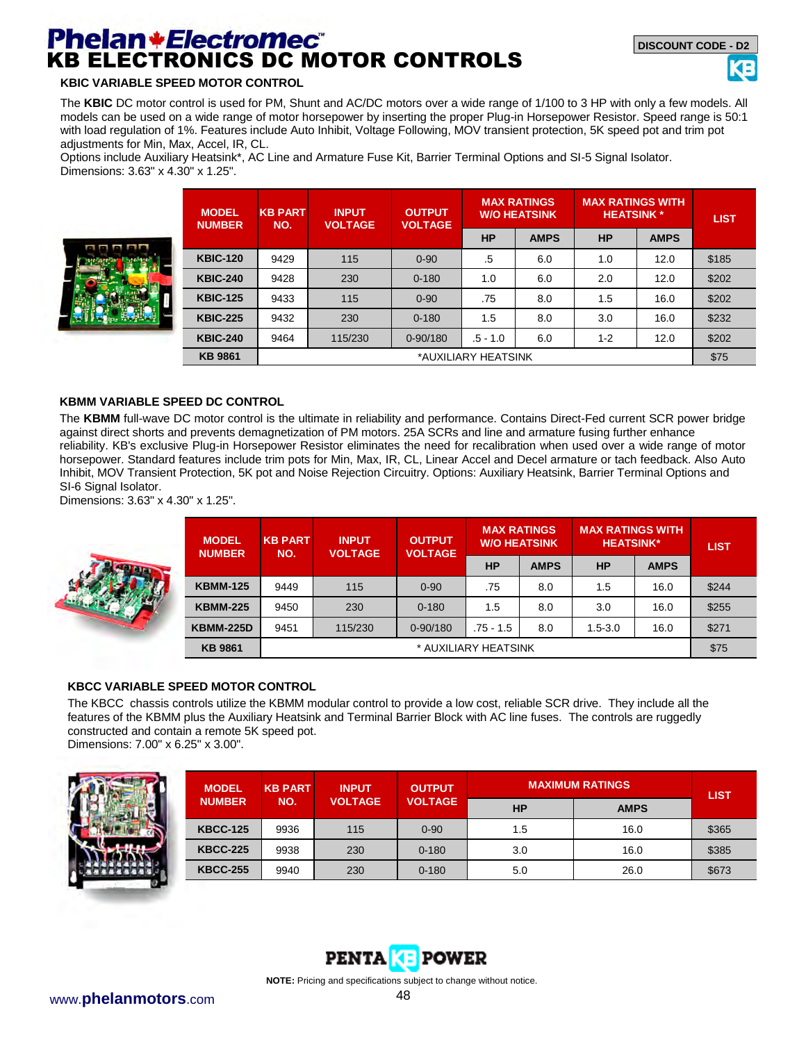# **Phelan \* Electromec<sup>\*</sup>**<br>KB ELECTRONICS DC MOTOR CONTROLS

#### **KBIC VARIABLE SPEED MOTOR CONTROL**

The **KBIC** DC motor control is used for PM, Shunt and AC/DC motors over a wide range of 1/100 to 3 HP with only a few models. All models can be used on a wide range of motor horsepower by inserting the proper Plug-in Horsepower Resistor. Speed range is 50:1 with load regulation of 1%. Features include Auto Inhibit, Voltage Following, MOV transient protection, 5K speed pot and trim pot adjustments for Min, Max, Accel, IR, CL.

Options include Auxiliary Heatsink\*, AC Line and Armature Fuse Kit, Barrier Terminal Options and SI-5 Signal Isolator. Dimensions: 3.63" x 4.30" x 1.25".



| <b>MODEL</b><br><b>NUMBER</b> | <b>KB PART</b><br><b>INPUT</b><br><b>VOLTAGE</b><br>NO. |         | <b>OUTPUT</b><br><b>VOLTAGE</b> |           | <b>MAX RATINGS</b><br><b>W/O HEATSINK</b> |           | <b>MAX RATINGS WITH</b><br><b>HEATSINK*</b> |       |  |
|-------------------------------|---------------------------------------------------------|---------|---------------------------------|-----------|-------------------------------------------|-----------|---------------------------------------------|-------|--|
|                               |                                                         |         |                                 | <b>HP</b> | <b>AMPS</b>                               | <b>HP</b> | <b>AMPS</b>                                 |       |  |
| <b>KBIC-120</b>               | 9429                                                    | 115     | $0 - 90$                        | .5        | 6.0                                       | 1.0       | 12.0                                        | \$185 |  |
| <b>KBIC-240</b>               | 9428                                                    | 230     | $0 - 180$                       | 1.0       | 6.0                                       | 2.0       | 12.0                                        | \$202 |  |
| <b>KBIC-125</b>               | 9433                                                    | 115     | $0 - 90$                        | .75       | 8.0                                       | 1.5       | 16.0                                        | \$202 |  |
| <b>KBIC-225</b>               | 9432                                                    | 230     | $0 - 180$                       | 1.5       | 8.0                                       | 3.0       | 16.0                                        | \$232 |  |
| <b>KBIC-240</b>               | 9464                                                    | 115/230 | $0 - 90/180$                    | .5 - 1.0  | 6.0                                       | $1 - 2$   | 12.0                                        | \$202 |  |
| <b>KB 9861</b>                | *AUXILIARY HEATSINK                                     |         |                                 |           |                                           |           |                                             |       |  |

#### **KBMM VARIABLE SPEED DC CONTROL**

The **KBMM** full-wave DC motor control is the ultimate in reliability and performance. Contains Direct-Fed current SCR power bridge against direct shorts and prevents demagnetization of PM motors. 25A SCRs and line and armature fusing further enhance reliability. KB's exclusive Plug-in Horsepower Resistor eliminates the need for recalibration when used over a wide range of motor horsepower. Standard features include trim pots for Min, Max, IR, CL, Linear Accel and Decel armature or tach feedback. Also Auto Inhibit, MOV Transient Protection, 5K pot and Noise Rejection Circuitry. Options: Auxiliary Heatsink, Barrier Terminal Options and SI-6 Signal Isolator.

Dimensions: 3.63" x 4.30" x 1.25".



| <b>MODEL</b>     | <b>KB PART</b><br><b>NUMBER</b><br>NO. | <b>INPUT</b><br><b>VOLTAGE</b> | <b>OUTPUT</b><br><b>VOLTAGE</b> | <b>MAX RATINGS</b><br><b>W/O HEATSINK</b> |             | <b>MAX RATINGS WITH</b><br><b>HEATSINK*</b> |             | <b>LIST</b> |
|------------------|----------------------------------------|--------------------------------|---------------------------------|-------------------------------------------|-------------|---------------------------------------------|-------------|-------------|
|                  |                                        |                                |                                 | <b>HP</b>                                 | <b>AMPS</b> | <b>HP</b>                                   | <b>AMPS</b> |             |
| <b>KBMM-125</b>  | 9449                                   | 115                            | $0 - 90$                        | .75                                       | 8.0         | 1.5                                         | 16.0        | \$244       |
| <b>KBMM-225</b>  | 9450                                   | 230                            | $0 - 180$                       | 1.5                                       | 8.0         | 3.0                                         | 16.0        | \$255       |
| <b>KBMM-225D</b> | 9451                                   | 115/230                        | $0 - 90/180$                    | $.75 - 1.5$                               | 8.0         | $1.5 - 3.0$                                 | 16.0        | \$271       |
| <b>KB 9861</b>   |                                        |                                |                                 | * AUXILIARY HEATSINK                      |             |                                             |             | \$75        |

#### **KBCC VARIABLE SPEED MOTOR CONTROL**

The KBCC chassis controls utilize the KBMM modular control to provide a low cost, reliable SCR drive. They include all the features of the KBMM plus the Auxiliary Heatsink and Terminal Barrier Block with AC line fuses. The controls are ruggedly constructed and contain a remote 5K speed pot. Dimensions: 7.00" x 6.25" x 3.00".



| <b>MODEL</b>    | <b>KB PART</b> | <b>INPUT</b>   | <b>OUTPUT</b>  |           | <b>MAXIMUM RATINGS</b> | <b>LIST</b> |
|-----------------|----------------|----------------|----------------|-----------|------------------------|-------------|
| <b>NUMBER</b>   | NO.            | <b>VOLTAGE</b> | <b>VOLTAGE</b> | <b>HP</b> | <b>AMPS</b>            |             |
| <b>KBCC-125</b> | 9936           | 115            | $0 - 90$       | 1.5       | 16.0                   | \$365       |
| <b>KBCC-225</b> | 9938           | 230            | $0 - 180$      | 3.0       | 16.0                   | \$385       |
| <b>KBCC-255</b> | 9940           | 230            | $0 - 180$      | 5.0       | 26.0                   | \$673       |

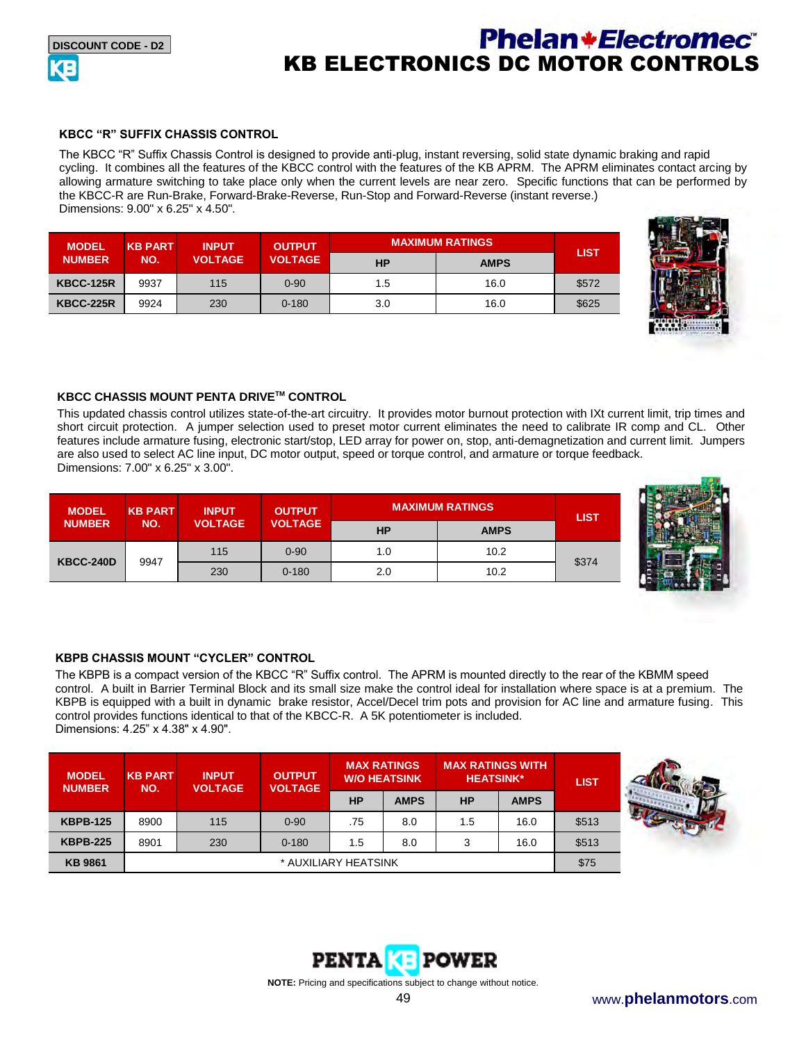## **Phelan+Electromec**® KB ELECTRONICS DC MOTOR CONTROLS

#### **KBCC "R" SUFFIX CHASSIS CONTROL**

The KBCC "R" Suffix Chassis Control is designed to provide anti-plug, instant reversing, solid state dynamic braking and rapid cycling. It combines all the features of the KBCC control with the features of the KB APRM. The APRM eliminates contact arcing by allowing armature switching to take place only when the current levels are near zero. Specific functions that can be performed by the KBCC-R are Run-Brake, Forward-Brake-Reverse, Run-Stop and Forward-Reverse (instant reverse.) Dimensions: 9.00" x 6.25" x 4.50".

| <b>MODEL</b>     | <b>KB PART</b><br><b>INPUT</b> |                | <b>OUTPUT</b>  |     | <b>MAXIMUM RATINGS</b> | LIST  |
|------------------|--------------------------------|----------------|----------------|-----|------------------------|-------|
| <b>NUMBER</b>    | NO.                            | <b>VOLTAGE</b> | <b>VOLTAGE</b> | HP  | <b>AMPS</b>            |       |
| <b>KBCC-125R</b> | 9937                           | 115            | $0 - 90$       | 1.5 | 16.0                   | \$572 |
| <b>KBCC-225R</b> | 9924                           | 230            | $0 - 180$      | 3.0 | 16.0                   | \$625 |



#### **KBCC CHASSIS MOUNT PENTA DRIVETM CONTROL**

This updated chassis control utilizes state-of-the-art circuitry. It provides motor burnout protection with IXt current limit, trip times and short circuit protection. A jumper selection used to preset motor current eliminates the need to calibrate IR comp and CL. Other features include armature fusing, electronic start/stop, LED array for power on, stop, anti-demagnetization and current limit. Jumpers are also used to select AC line input, DC motor output, speed or torque control, and armature or torque feedback. Dimensions: 7.00" x 6.25" x 3.00".

| <b>MODEL</b><br><b>NUMBER</b> | <b>KB PART</b> | <b>INPUT</b>   | <b>OUTPUT</b>  |           | <b>MAXIMUM RATINGS</b> |             |  |
|-------------------------------|----------------|----------------|----------------|-----------|------------------------|-------------|--|
|                               | NO.            | <b>VOLTAGE</b> | <b>VOLTAGE</b> | <b>HP</b> | <b>AMPS</b>            | <b>LIST</b> |  |
| <b>KBCC-240D</b>              |                | 115            | $0 - 90$       | 1.0       | 10.2                   |             |  |
|                               | 9947           | 230            | $0 - 180$      | 2.0       | 10.2                   | \$374       |  |



#### **KBPB CHASSIS MOUNT "CYCLER" CONTROL**

The KBPB is a compact version of the KBCC "R" Suffix control. The APRM is mounted directly to the rear of the KBMM speed control. A built in Barrier Terminal Block and its small size make the control ideal for installation where space is at a premium. The KBPB is equipped with a built in dynamic brake resistor, Accel/Decel trim pots and provision for AC line and armature fusing. This control provides functions identical to that of the KBCC-R. A 5K potentiometer is included. Dimensions: 4.25" x 4.38" x 4.90".

| <b>MODEL</b><br><b>NUMBER</b> | <b>KB PART</b><br><b>INPUT</b><br><b>VOLTAGE</b> |     | NO.       | <b>OUTPUT</b><br><b>VOLTAGE</b> | <b>MAX RATINGS</b><br><b>W/O HEATSINK</b> |           | <b>MAX RATINGS WITH</b><br><b>HEATSINK*</b> |       | <b>LIST</b> |
|-------------------------------|--------------------------------------------------|-----|-----------|---------------------------------|-------------------------------------------|-----------|---------------------------------------------|-------|-------------|
|                               |                                                  |     |           | HP                              | <b>AMPS</b>                               | <b>HP</b> | <b>AMPS</b>                                 |       |             |
| <b>KBPB-125</b>               | 8900                                             | 115 | $0 - 90$  | .75                             | 8.0                                       | 1.5       | 16.0                                        | \$513 |             |
| <b>KBPB-225</b>               | 8901                                             | 230 | $0 - 180$ | 1.5                             | 8.0                                       | 3         | 16.0                                        | \$513 |             |
| <b>KB 9861</b>                | * AUXILIARY HEATSINK                             |     |           |                                 |                                           | \$75      |                                             |       |             |



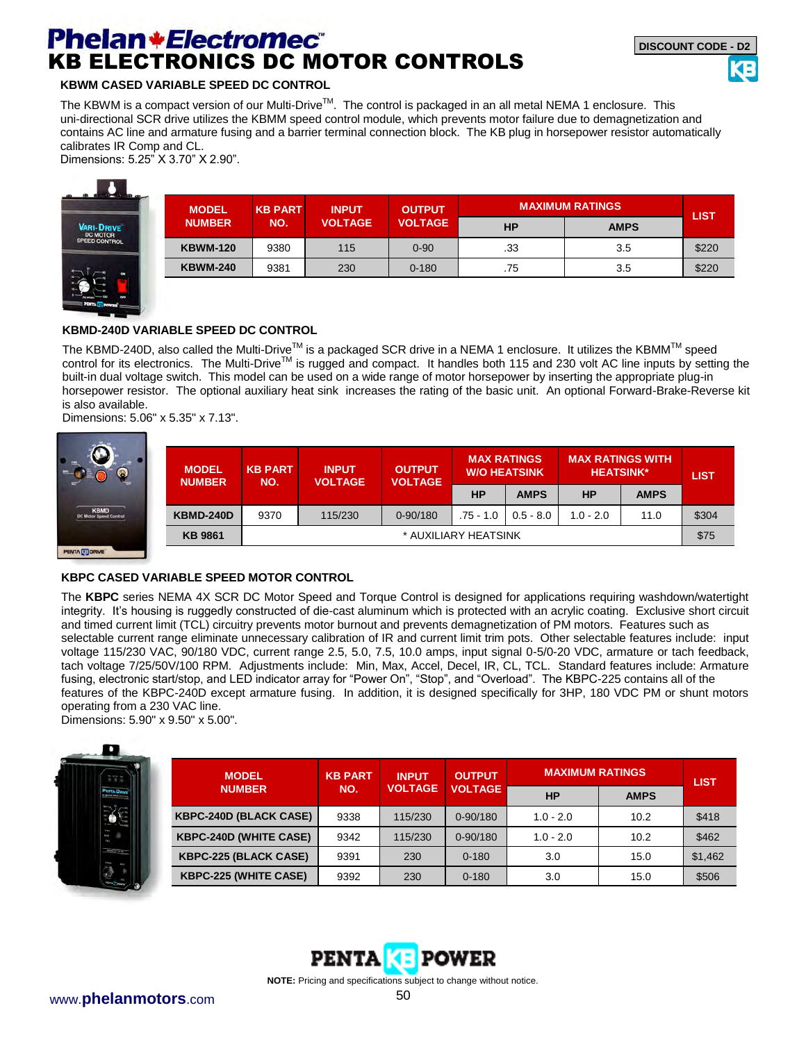# **Phelan \*Electromec** KB ELECTRONICS DC MOTOR CONTROLS

#### **KBWM CASED VARIABLE SPEED DC CONTROL**

The KBWM is a compact version of our Multi-Drive™. The control is packaged in an all metal NEMA 1 enclosure. This uni-directional SCR drive utilizes the KBMM speed control module, which prevents motor failure due to demagnetization and contains AC line and armature fusing and a barrier terminal connection block. The KB plug in horsepower resistor automatically calibrates IR Comp and CL. Dimensions: 5.25" X 3.70" X 2.90".



| <b>MODEL</b>    | <b>KB PART</b><br><b>INPUT</b> |                | <b>OUTPUT</b>  |           | <b>MAXIMUM RATINGS</b> | <b>LIST</b> |
|-----------------|--------------------------------|----------------|----------------|-----------|------------------------|-------------|
| <b>NUMBER</b>   | NO.                            | <b>VOLTAGE</b> | <b>VOLTAGE</b> | <b>HP</b> | <b>AMPS</b>            |             |
| <b>KBWM-120</b> | 9380                           | 115            | $0 - 90$       | .33       | 3.5                    | \$220       |
| <b>KBWM-240</b> | 9381                           | 230            | $0 - 180$      | .75       | 3.5                    | \$220       |

#### **KBMD-240D VARIABLE SPEED DC CONTROL**

The KBMD-240D, also called the Multi-Drive<sup>™</sup> is a packaged SCR drive in a NEMA 1 enclosure. It utilizes the KBMM<sup>™</sup> speed control for its electronics. The Multi-Drive<sup>™</sup> is rugged and compact. It handles both 115 and 230 volt AC line inputs by setting the built-in dual voltage switch. This model can be used on a wide range of motor horsepower by inserting the appropriate plug-in horsepower resistor. The optional auxiliary heat sink increases the rating of the basic unit. An optional Forward-Brake-Reverse kit is also available.

Dimensions: 5.06" x 5.35" x 7.13".



| <b>MODEL</b><br><b>NUMBER</b> | <b>KB PART</b><br><b>INPUT</b><br><b>VOLTAGE</b><br>NO. |         | <b>OUTPUT</b><br><b>VOLTAGE</b> | <b>MAX RATINGS</b><br><b>W/O HEATSINK</b> |             | <b>MAX RATINGS WITH</b><br><b>HEATSINK*</b> |             | <b>LIST</b> |
|-------------------------------|---------------------------------------------------------|---------|---------------------------------|-------------------------------------------|-------------|---------------------------------------------|-------------|-------------|
|                               |                                                         |         |                                 | <b>HP</b>                                 | <b>AMPS</b> | <b>HP</b>                                   | <b>AMPS</b> |             |
| <b>KBMD-240D</b>              | 9370                                                    | 115/230 | $0 - 90/180$                    | $.75 - 1.0$                               | $0.5 - 8.0$ | $1.0 - 2.0$                                 | 11.0        | \$304       |
| <b>KB 9861</b>                | * AUXILIARY HEATSINK                                    |         |                                 |                                           |             |                                             | \$75        |             |

#### **KBPC CASED VARIABLE SPEED MOTOR CONTROL**

The **KBPC** series NEMA 4X SCR DC Motor Speed and Torque Control is designed for applications requiring washdown/watertight integrity. It's housing is ruggedly constructed of die-cast aluminum which is protected with an acrylic coating. Exclusive short circuit and timed current limit (TCL) circuitry prevents motor burnout and prevents demagnetization of PM motors. Features such as selectable current range eliminate unnecessary calibration of IR and current limit trim pots. Other selectable features include: input voltage 115/230 VAC, 90/180 VDC, current range 2.5, 5.0, 7.5, 10.0 amps, input signal 0-5/0-20 VDC, armature or tach feedback, tach voltage 7/25/50V/100 RPM. Adjustments include: Min, Max, Accel, Decel, IR, CL, TCL. Standard features include: Armature fusing, electronic start/stop, and LED indicator array for "Power On", "Stop", and "Overload". The KBPC-225 contains all of the features of the KBPC-240D except armature fusing. In addition, it is designed specifically for 3HP, 180 VDC PM or shunt motors operating from a 230 VAC line.

Dimensions: 5.90" x 9.50" x 5.00".



| <b>MODEL</b>                  | <b>KB PART</b><br><b>INPUT</b> |                | <b>OUTPUT</b>  | <b>MAXIMUM RATINGS</b> | <b>LIST</b> |         |
|-------------------------------|--------------------------------|----------------|----------------|------------------------|-------------|---------|
| <b>NUMBER</b>                 | NO.                            | <b>VOLTAGE</b> | <b>VOLTAGE</b> | <b>HP</b>              | <b>AMPS</b> |         |
| <b>KBPC-240D (BLACK CASE)</b> | 9338                           | 115/230        | $0 - 90/180$   | $1.0 - 2.0$            | 10.2        | \$418   |
| <b>KBPC-240D (WHITE CASE)</b> | 9342                           | 115/230        | $0 - 90/180$   | $1.0 - 2.0$            | 10.2        | \$462   |
| <b>KBPC-225 (BLACK CASE)</b>  | 9391                           | 230            | $0 - 180$      | 3.0                    | 15.0        | \$1,462 |
| <b>KBPC-225 (WHITE CASE)</b>  | 9392                           | 230            | $0 - 180$      | 3.0                    | 15.0        | \$506   |

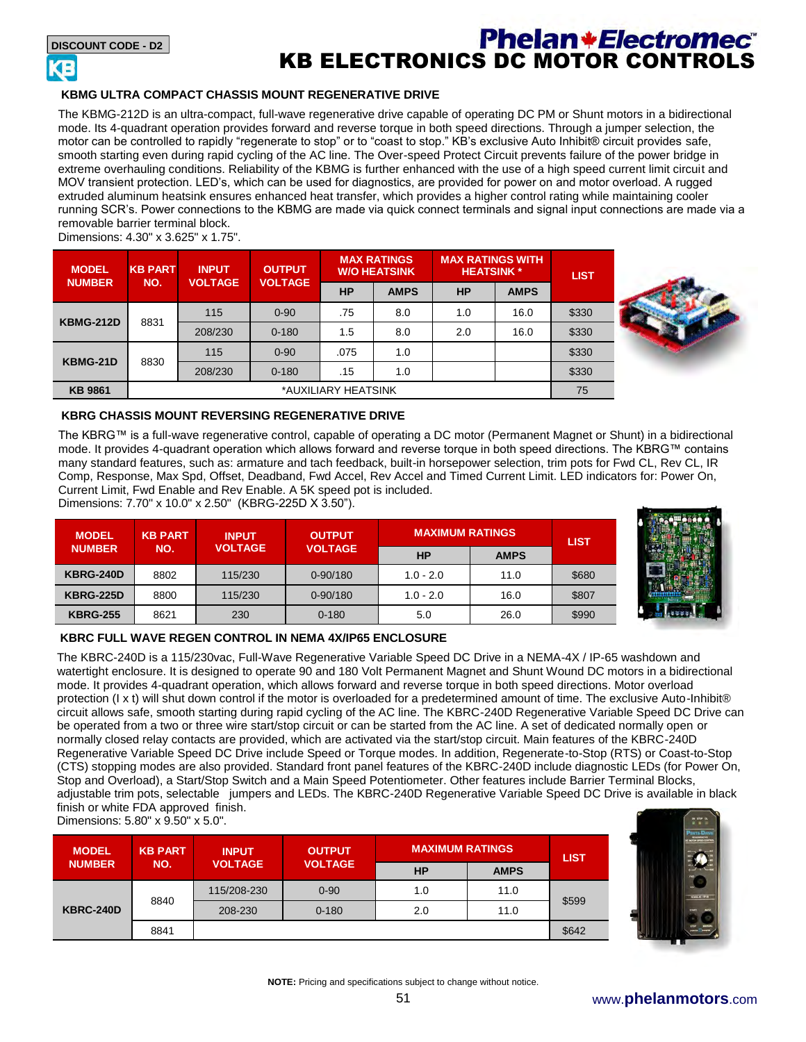

## **Phelan \*Electromec** KB ELECTRONICS DC MOTOR CONTROLS

#### **KBMG ULTRA COMPACT CHASSIS MOUNT REGENERATIVE DRIVE**

The KBMG-212D is an ultra-compact, full-wave regenerative drive capable of operating DC PM or Shunt motors in a bidirectional mode. Its 4-quadrant operation provides forward and reverse torque in both speed directions. Through a jumper selection, the motor can be controlled to rapidly "regenerate to stop" or to "coast to stop." KB's exclusive Auto Inhibit® circuit provides safe, smooth starting even during rapid cycling of the AC line. The Over-speed Protect Circuit prevents failure of the power bridge in extreme overhauling conditions. Reliability of the KBMG is further enhanced with the use of a high speed current limit circuit and MOV transient protection. LED's, which can be used for diagnostics, are provided for power on and motor overload. A rugged extruded aluminum heatsink ensures enhanced heat transfer, which provides a higher control rating while maintaining cooler running SCR's. Power connections to the KBMG are made via quick connect terminals and signal input connections are made via a removable barrier terminal block.

Dimensions: 4.30" x 3.625" x 1.75".

| <b>MODEL</b><br><b>NUMBER</b> | <b>KB PART</b><br>NO. | <b>INPUT</b><br><b>VOLTAGE</b> | <b>OUTPUT</b><br><b>VOLTAGE</b> | <b>MAX RATINGS</b><br><b>W/O HEATSINK</b> |             | <b>MAX RATINGS WITH</b><br><b>HEATSINK*</b> |             | <b>LIST</b> |
|-------------------------------|-----------------------|--------------------------------|---------------------------------|-------------------------------------------|-------------|---------------------------------------------|-------------|-------------|
|                               |                       |                                |                                 | <b>HP</b>                                 | <b>AMPS</b> | <b>HP</b>                                   | <b>AMPS</b> |             |
|                               | 8831                  | 115                            | $0 - 90$                        | .75                                       | 8.0         | 1.0                                         | 16.0        | \$330       |
| <b>KBMG-212D</b>              |                       | 208/230                        | $0 - 180$                       | 1.5                                       | 8.0         | 2.0                                         | 16.0        | \$330       |
| KBMG-21D                      | 8830                  | 115                            | $0 - 90$                        | .075                                      | 1.0         |                                             |             | \$330       |
|                               |                       | 208/230                        | $0 - 180$                       | .15                                       | 1.0         |                                             |             | \$330       |
| <b>KB 9861</b>                | *AUXILIARY HEATSINK   |                                |                                 |                                           |             |                                             | 75          |             |



#### **KBRG CHASSIS MOUNT REVERSING REGENERATIVE DRIVE**

The KBRG™ is a full-wave regenerative control, capable of operating a DC motor (Permanent Magnet or Shunt) in a bidirectional mode. It provides 4-quadrant operation which allows forward and reverse torque in both speed directions. The KBRG™ contains many standard features, such as: armature and tach feedback, built-in horsepower selection, trim pots for Fwd CL, Rev CL, IR Comp, Response, Max Spd, Offset, Deadband, Fwd Accel, Rev Accel and Timed Current Limit. LED indicators for: Power On, Current Limit, Fwd Enable and Rev Enable. A 5K speed pot is included.

Dimensions: 7.70" x 10.0" x 2.50" (KBRG-225D X 3.50").

| <b>MODEL</b>     | <b>KB PART</b><br><b>INPUT</b> |                | <b>OUTPUT</b>  | <b>MAXIMUM RATINGS</b> | <b>LIST</b> |       |
|------------------|--------------------------------|----------------|----------------|------------------------|-------------|-------|
| <b>NUMBER</b>    | NO.                            | <b>VOLTAGE</b> | <b>VOLTAGE</b> | <b>HP</b>              | <b>AMPS</b> |       |
| <b>KBRG-240D</b> | 8802                           | 115/230        | $0 - 90/180$   | $1.0 - 2.0$            | 11.0        | \$680 |
| <b>KBRG-225D</b> | 8800                           | 115/230        | $0 - 90/180$   | $1.0 - 2.0$            | 16.0        | \$807 |
| <b>KBRG-255</b>  | 8621                           | 230            | $0 - 180$      | 5.0                    | 26.0        | \$990 |



#### **KBRC FULL WAVE REGEN CONTROL IN NEMA 4X/IP65 ENCLOSURE**

The KBRC-240D is a 115/230vac, Full-Wave Regenerative Variable Speed DC Drive in a NEMA-4X / IP-65 washdown and watertight enclosure. It is designed to operate 90 and 180 Volt Permanent Magnet and Shunt Wound DC motors in a bidirectional mode. It provides 4-quadrant operation, which allows forward and reverse torque in both speed directions. Motor overload protection (I x t) will shut down control if the motor is overloaded for a predetermined amount of time. The exclusive Auto-Inhibit® circuit allows safe, smooth starting during rapid cycling of the AC line. The KBRC-240D Regenerative Variable Speed DC Drive can be operated from a two or three wire start/stop circuit or can be started from the AC line. A set of dedicated normally open or normally closed relay contacts are provided, which are activated via the start/stop circuit. Main features of the KBRC-240D Regenerative Variable Speed DC Drive include Speed or Torque modes. In addition, Regenerate-to-Stop (RTS) or Coast-to-Stop (CTS) stopping modes are also provided. Standard front panel features of the KBRC-240D include diagnostic LEDs (for Power On, Stop and Overload), a Start/Stop Switch and a Main Speed Potentiometer. Other features include Barrier Terminal Blocks, adjustable trim pots, selectable jumpers and LEDs. The KBRC-240D Regenerative Variable Speed DC Drive is available in black finish or white FDA approved finish. Dimensions: 5.80" x 9.50" x 5.0".

| <b>MODEL</b>     | <b>KB PART</b> | <b>INPUT</b>   | <b>OUTPUT</b>  | <b>MAXIMUM RATINGS</b> |             | <b>LIST</b> |
|------------------|----------------|----------------|----------------|------------------------|-------------|-------------|
| <b>NUMBER</b>    | NO.            | <b>VOLTAGE</b> | <b>VOLTAGE</b> | <b>HP</b>              | <b>AMPS</b> |             |
|                  | 8840           | 115/208-230    | $0 - 90$       | 1.0                    | 11.0        |             |
| <b>KBRC-240D</b> |                | 208-230        | $0 - 180$      | 2.0                    | 11.0        | \$599       |
|                  | 8841           |                |                |                        |             | \$642       |

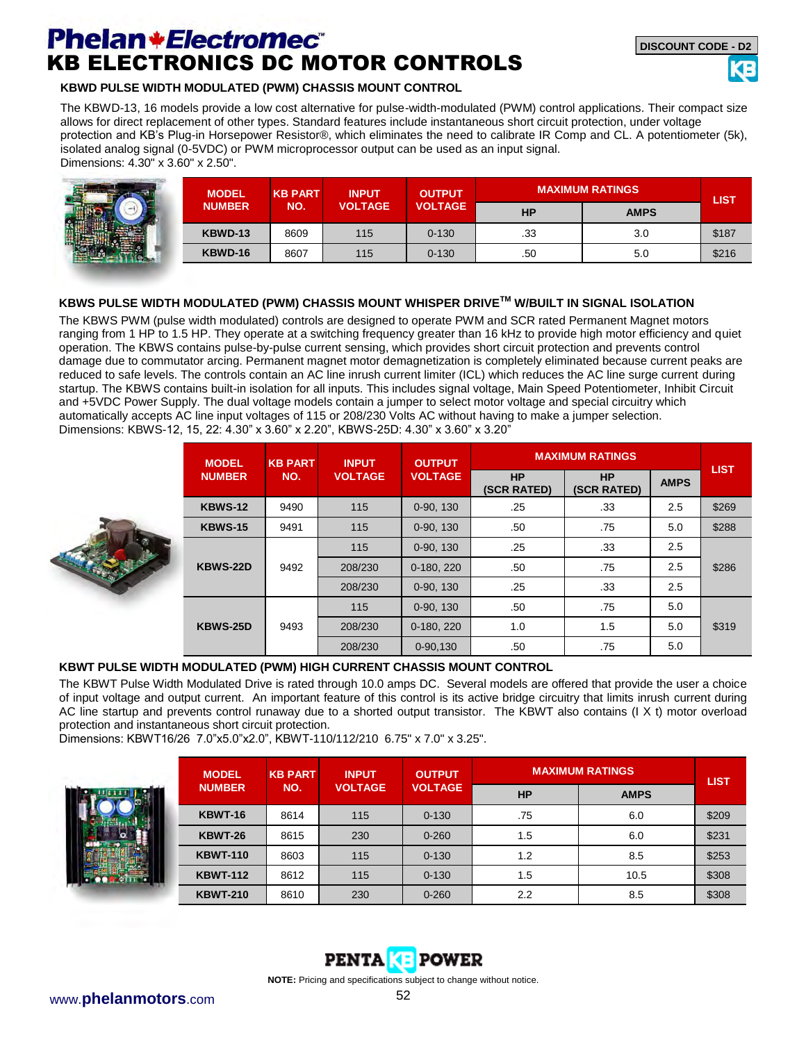## **Phelan \*Electromec** KB ELECTRONICS DC MOTOR CONTROLS

#### **KBWD PULSE WIDTH MODULATED (PWM) CHASSIS MOUNT CONTROL**

The KBWD-13, 16 models provide a low cost alternative for pulse-width-modulated (PWM) control applications. Their compact size allows for direct replacement of other types. Standard features include instantaneous short circuit protection, under voltage protection and KB's Plug-in Horsepower Resistor®, which eliminates the need to calibrate IR Comp and CL. A potentiometer (5k), isolated analog signal (0-5VDC) or PWM microprocessor output can be used as an input signal. Dimensions: 4.30" x 3.60" x 2.50".

| <b>MODEL</b>  | <b>KB PART</b> | <b>INPUT</b>   | <b>OUTPUT</b>  | <b>MAXIMUM RATINGS</b> | <b>LIST</b> |       |
|---------------|----------------|----------------|----------------|------------------------|-------------|-------|
| <b>NUMBER</b> | NO.            | <b>VOLTAGE</b> | <b>VOLTAGE</b> | <b>HP</b>              | <b>AMPS</b> |       |
| KBWD-13       | 8609           | 115            | $0 - 130$      | .33                    | 3.0         | \$187 |
| KBWD-16       | 8607           | 115            | $0 - 130$      | .50                    | 5.0         | \$216 |

#### **KBWS PULSE WIDTH MODULATED (PWM) CHASSIS MOUNT WHISPER DRIVETM W/BUILT IN SIGNAL ISOLATION**

The KBWS PWM (pulse width modulated) controls are designed to operate PWM and SCR rated Permanent Magnet motors ranging from 1 HP to 1.5 HP. They operate at a switching frequency greater than 16 kHz to provide high motor efficiency and quiet operation. The KBWS contains pulse-by-pulse current sensing, which provides short circuit protection and prevents control damage due to commutator arcing. Permanent magnet motor demagnetization is completely eliminated because current peaks are reduced to safe levels. The controls contain an AC line inrush current limiter (ICL) which reduces the AC line surge current during startup. The KBWS contains built-in isolation for all inputs. This includes signal voltage, Main Speed Potentiometer, Inhibit Circuit and +5VDC Power Supply. The dual voltage models contain a jumper to select motor voltage and special circuitry which automatically accepts AC line input voltages of 115 or 208/230 Volts AC without having to make a jumper selection. Dimensions: KBWS-12, 15, 22: 4.30" x 3.60" x 2.20", KBWS-25D: 4.30" x 3.60" x 3.20"



| <b>MODEL</b><br><b>NUMBER</b> | <b>KB PART</b> | <b>INPUT</b>   | <b>OUTPUT</b>  |                          | <b>MAXIMUM RATINGS</b>   |             | <b>LIST</b> |
|-------------------------------|----------------|----------------|----------------|--------------------------|--------------------------|-------------|-------------|
|                               | NO.            | <b>VOLTAGE</b> | <b>VOLTAGE</b> | <b>HP</b><br>(SCR RATED) | <b>HP</b><br>(SCR RATED) | <b>AMPS</b> |             |
| <b>KBWS-12</b>                | 9490           | 115            | 0-90, 130      | .25                      | .33                      | 2.5         | \$269       |
| <b>KBWS-15</b>                | 9491           | 115            | 0-90, 130      | .50                      | .75                      | 5.0         | \$288       |
| <b>KBWS-22D</b>               |                | 115            | 0-90, 130      | .25                      | .33                      | 2.5         |             |
|                               | 9492           | 208/230        | $0-180.220$    | .50                      | .75                      | 2.5         | \$286       |
|                               |                | 208/230        | 0-90, 130      | .25                      | .33                      | 2.5         |             |
|                               |                | 115            | 0-90, 130      | .50                      | .75                      | 5.0         |             |
| <b>KBWS-25D</b>               | 9493           | 208/230        | 0-180, 220     | 1.0                      | 1.5                      | 5.0         | \$319       |
|                               |                | 208/230        | 0-90,130       | .50                      | .75                      | 5.0         |             |

#### **KBWT PULSE WIDTH MODULATED (PWM) HIGH CURRENT CHASSIS MOUNT CONTROL**

The KBWT Pulse Width Modulated Drive is rated through 10.0 amps DC. Several models are offered that provide the user a choice of input voltage and output current. An important feature of this control is its active bridge circuitry that limits inrush current during AC line startup and prevents control runaway due to a shorted output transistor. The KBWT also contains (I X t) motor overload protection and instantaneous short circuit protection.

Dimensions: KBWT16/26 7.0"x5.0"x2.0", KBWT-110/112/210 6.75" x 7.0" x 3.25".



| <b>MODEL</b>    | <b>KB PART</b>       | <b>INPUT</b>   | <b>OUTPUT</b>  |           | <b>MAXIMUM RATINGS</b> | <b>LIST</b> |  |
|-----------------|----------------------|----------------|----------------|-----------|------------------------|-------------|--|
|                 | <b>NUMBER</b><br>NO. | <b>VOLTAGE</b> | <b>VOLTAGE</b> | <b>HP</b> | <b>AMPS</b>            |             |  |
| KBWT-16         | 8614                 | 115            | $0 - 130$      | .75       | 6.0                    | \$209       |  |
| KBWT-26         | 8615                 | 230            | $0 - 260$      | 1.5       | 6.0                    | \$231       |  |
| <b>KBWT-110</b> | 8603                 | 115            | $0 - 130$      | 1.2       | 8.5                    | \$253       |  |
| <b>KBWT-112</b> | 8612                 | 115            | $0 - 130$      | 1.5       | 10.5                   | \$308       |  |
| <b>KBWT-210</b> | 8610                 | 230            | $0 - 260$      | 2.2       | 8.5                    | \$308       |  |

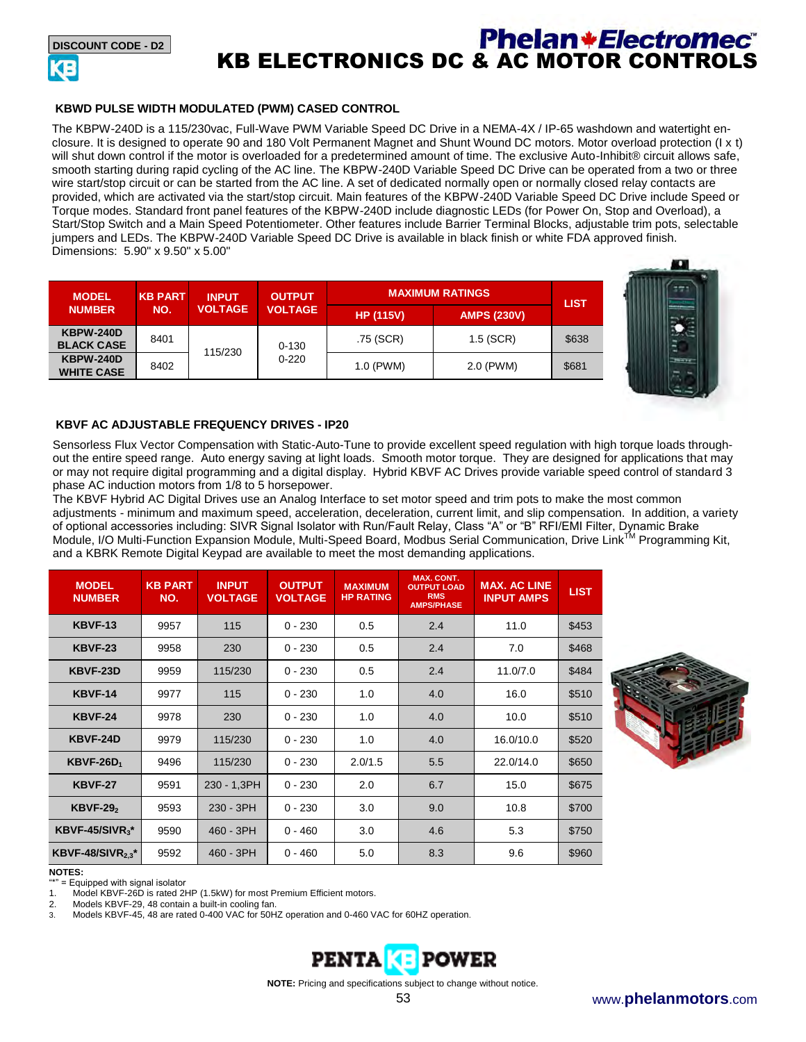

### **Phelan+Electromec** KB ELECTRONICS DC & AC MOTOR CONTROLS

#### **KBWD PULSE WIDTH MODULATED (PWM) CASED CONTROL**

The KBPW-240D is a 115/230vac, Full-Wave PWM Variable Speed DC Drive in a NEMA-4X / IP-65 washdown and watertight enclosure. It is designed to operate 90 and 180 Volt Permanent Magnet and Shunt Wound DC motors. Motor overload protection (I x t) will shut down control if the motor is overloaded for a predetermined amount of time. The exclusive Auto-Inhibit® circuit allows safe. smooth starting during rapid cycling of the AC line. The KBPW-240D Variable Speed DC Drive can be operated from a two or three wire start/stop circuit or can be started from the AC line. A set of dedicated normally open or normally closed relay contacts are provided, which are activated via the start/stop circuit. Main features of the KBPW-240D Variable Speed DC Drive include Speed or Torque modes. Standard front panel features of the KBPW-240D include diagnostic LEDs (for Power On, Stop and Overload), a Start/Stop Switch and a Main Speed Potentiometer. Other features include Barrier Terminal Blocks, adjustable trim pots, selectable jumpers and LEDs. The KBPW-240D Variable Speed DC Drive is available in black finish or white FDA approved finish. Dimensions: 5.90" x 9.50" x 5.00"

| <b>MODEL</b><br><b>NUMBER</b>         | <b>KB PART</b> | <b>INPUT</b>   | <b>OUTPUT</b>          | <b>IMAXIMUM RATINGS</b> |                    | <b>LIST</b> |
|---------------------------------------|----------------|----------------|------------------------|-------------------------|--------------------|-------------|
|                                       | NO.            | <b>VOLTAGE</b> | <b>VOLTAGE</b>         | <b>HP (115V)</b>        | <b>AMPS (230V)</b> |             |
| <b>KBPW-240D</b><br><b>BLACK CASE</b> | 8401           | 115/230        | $0 - 130$<br>$0 - 220$ | .75 (SCR)               | $1.5$ (SCR)        | \$638       |
| <b>KBPW-240D</b><br><b>WHITE CASE</b> | 8402           |                |                        | 1.0 (PWM)               | 2.0 (PWM)          | \$681       |



#### **KBVF AC ADJUSTABLE FREQUENCY DRIVES - IP20**

Sensorless Flux Vector Compensation with Static-Auto-Tune to provide excellent speed regulation with high torque loads throughout the entire speed range. Auto energy saving at light loads. Smooth motor torque. They are designed for applications that may or may not require digital programming and a digital display. Hybrid KBVF AC Drives provide variable speed control of standard 3 phase AC induction motors from 1/8 to 5 horsepower.

The KBVF Hybrid AC Digital Drives use an Analog Interface to set motor speed and trim pots to make the most common adjustments - minimum and maximum speed, acceleration, deceleration, current limit, and slip compensation. In addition, a variety of optional accessories including: SIVR Signal Isolator with Run/Fault Relay, Class "A" or "B" RFI/EMI Filter, Dynamic Brake Module, I/O Multi-Function Expansion Module, Multi-Speed Board, Modbus Serial Communication, Drive Link™ Programming Kit, and a KBRK Remote Digital Keypad are available to meet the most demanding applications.

| <b>MODEL</b><br><b>NUMBER</b> | <b>KB PART</b><br>NO. | <b>INPUT</b><br><b>VOLTAGE</b> | <b>OUTPUT</b><br><b>VOLTAGE</b> | <b>MAXIMUM</b><br><b>HP RATING</b> | <b>MAX. CONT.</b><br><b>OUTPUT LOAD</b><br><b>RMS</b><br><b>AMPS/PHASE</b> | <b>MAX. AC LINE</b><br><b>INPUT AMPS</b> | <b>LIST</b> |
|-------------------------------|-----------------------|--------------------------------|---------------------------------|------------------------------------|----------------------------------------------------------------------------|------------------------------------------|-------------|
| <b>KBVF-13</b>                | 9957                  | 115                            | $0 - 230$                       | 0.5                                | 2.4                                                                        | 11.0                                     | \$453       |
| <b>KBVF-23</b>                | 9958                  | 230                            | $0 - 230$                       | 0.5                                | 2.4                                                                        | 7.0                                      | \$468       |
| KBVF-23D                      | 9959                  | 115/230                        | $0 - 230$                       | 0.5                                | 2.4                                                                        | 11.0/7.0                                 | \$484       |
| <b>KBVF-14</b>                | 9977                  | 115                            | $0 - 230$                       | 1.0                                | 4.0                                                                        | 16.0                                     | \$510       |
| <b>KBVF-24</b>                | 9978                  | 230                            | $0 - 230$                       | 1.0                                | 4.0                                                                        | 10.0                                     | \$510       |
| KBVF-24D                      | 9979                  | 115/230                        | $0 - 230$                       | 1.0                                | 4.0                                                                        | 16.0/10.0                                | \$520       |
| $KBVF-26D_1$                  | 9496                  | 115/230                        | $0 - 230$                       | 2.0/1.5                            | 5.5                                                                        | 22.0/14.0                                | \$650       |
| <b>KBVF-27</b>                | 9591                  | 230 - 1,3PH                    | $0 - 230$                       | 2.0                                | 6.7                                                                        | 15.0                                     | \$675       |
| $KBVF-292$                    | 9593                  | 230 - 3PH                      | $0 - 230$                       | 3.0                                | 9.0                                                                        | 10.8                                     | \$700       |
| KBVF-45/SIVR $3^*$            | 9590                  | 460 - 3PH                      | $0 - 460$                       | 3.0                                | 4.6                                                                        | 5.3                                      | \$750       |
| KBVF-48/SIVR $_{2.3}$ *       | 9592                  | 460 - 3PH                      | $0 - 460$                       | 5.0                                | 8.3                                                                        | 9.6                                      | \$960       |



**NOTES:** 

= Equipped with signal isolator

Model KBVF-26D is rated 2HP (1.5kW) for most Premium Efficient motors.

2. Models KBVF-29, 48 contain a built-in cooling fan.

3. Models KBVF-45, 48 are rated 0-400 VAC for 50HZ operation and 0-460 VAC for 60HZ operation.



**NOTE:** Pricing and specifications subject to change without notice.